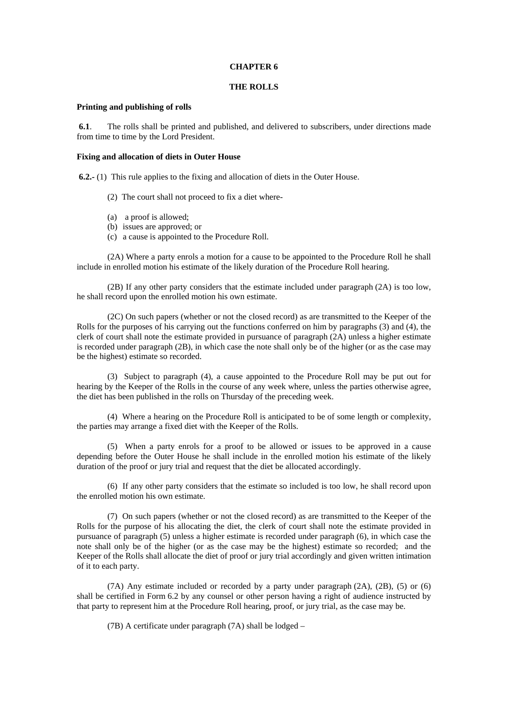#### **CHAPTER 6**

# **THE ROLLS**

### **Printing and publishing of rolls**

 **6.1**. The rolls shall be printed and published, and delivered to subscribers, under directions made from time to time by the Lord President.

#### **Fixing and allocation of diets in Outer House**

**6.2.-** (1) This rule applies to the fixing and allocation of diets in the Outer House.

- (2) The court shall not proceed to fix a diet where-
- (a) a proof is allowed;
- (b) issues are approved; or
- (c) a cause is appointed to the Procedure Roll.

(2A) Where a party enrols a motion for a cause to be appointed to the Procedure Roll he shall include in enrolled motion his estimate of the likely duration of the Procedure Roll hearing.

(2B) If any other party considers that the estimate included under paragraph (2A) is too low, he shall record upon the enrolled motion his own estimate.

(2C) On such papers (whether or not the closed record) as are transmitted to the Keeper of the Rolls for the purposes of his carrying out the functions conferred on him by paragraphs (3) and (4), the clerk of court shall note the estimate provided in pursuance of paragraph (2A) unless a higher estimate is recorded under paragraph (2B), in which case the note shall only be of the higher (or as the case may be the highest) estimate so recorded.

 (3) Subject to paragraph (4), a cause appointed to the Procedure Roll may be put out for hearing by the Keeper of the Rolls in the course of any week where, unless the parties otherwise agree, the diet has been published in the rolls on Thursday of the preceding week.

 (4) Where a hearing on the Procedure Roll is anticipated to be of some length or complexity, the parties may arrange a fixed diet with the Keeper of the Rolls.

 (5) When a party enrols for a proof to be allowed or issues to be approved in a cause depending before the Outer House he shall include in the enrolled motion his estimate of the likely duration of the proof or jury trial and request that the diet be allocated accordingly.

 (6) If any other party considers that the estimate so included is too low, he shall record upon the enrolled motion his own estimate.

 (7) On such papers (whether or not the closed record) as are transmitted to the Keeper of the Rolls for the purpose of his allocating the diet, the clerk of court shall note the estimate provided in pursuance of paragraph (5) unless a higher estimate is recorded under paragraph (6), in which case the note shall only be of the higher (or as the case may be the highest) estimate so recorded; and the Keeper of the Rolls shall allocate the diet of proof or jury trial accordingly and given written intimation of it to each party.

 (7A) Any estimate included or recorded by a party under paragraph (2A), (2B), (5) or (6) shall be certified in Form 6.2 by any counsel or other person having a right of audience instructed by that party to represent him at the Procedure Roll hearing, proof, or jury trial, as the case may be.

(7B) A certificate under paragraph (7A) shall be lodged –